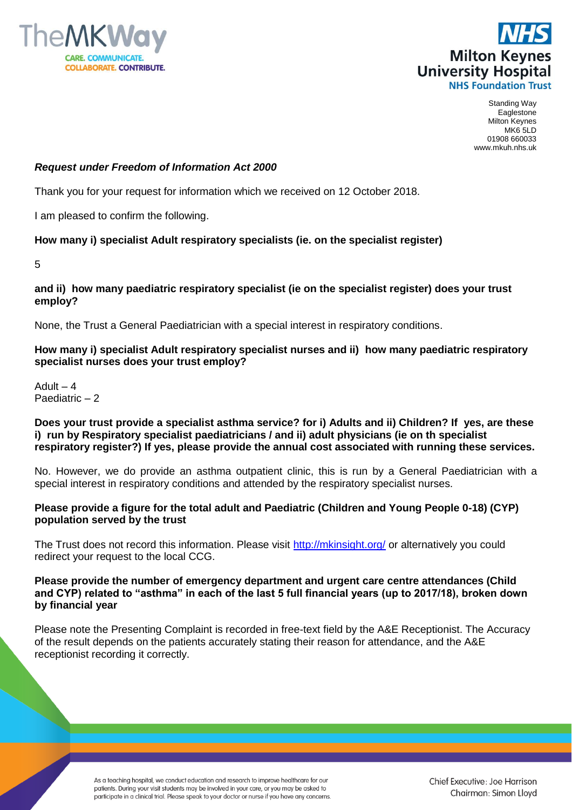



Standing Way Eaglestone Milton Keynes MK6 5LD 01908 660033 www.mkuh.nhs.uk

# *Request under Freedom of Information Act 2000*

Thank you for your request for information which we received on 12 October 2018.

I am pleased to confirm the following.

#### **How many i) specialist Adult respiratory specialists (ie. on the specialist register)**

5

#### **and ii) how many paediatric respiratory specialist (ie on the specialist register) does your trust employ?**

None, the Trust a General Paediatrician with a special interest in respiratory conditions.

# **How many i) specialist Adult respiratory specialist nurses and ii) how many paediatric respiratory specialist nurses does your trust employ?**

Adult  $-4$ Paediatric – 2

### **Does your trust provide a specialist asthma service? for i) Adults and ii) Children? If yes, are these i) run by Respiratory specialist paediatricians / and ii) adult physicians (ie on th specialist respiratory register?) If yes, please provide the annual cost associated with running these services.**

No. However, we do provide an asthma outpatient clinic, this is run by a General Paediatrician with a special interest in respiratory conditions and attended by the respiratory specialist nurses.

# **Please provide a figure for the total adult and Paediatric (Children and Young People 0-18) (CYP) population served by the trust**

The Trust does not record this information. Please visit<http://mkinsight.org/> or alternatively you could redirect your request to the local CCG.

### **Please provide the number of emergency department and urgent care centre attendances (Child and CYP) related to "asthma" in each of the last 5 full financial years (up to 2017/18), broken down by financial year**

Please note the Presenting Complaint is recorded in free-text field by the A&E Receptionist. The Accuracy of the result depends on the patients accurately stating their reason for attendance, and the A&E receptionist recording it correctly.

> As a teaching hospital, we conduct education and research to improve healthcare for our patients. During your visit students may be involved in your care, or you may be asked to participate in a clinical trial. Please speak to your doctor or nurse if you have any concerns.

Chief Executive: Joe Harrison Chairman: Simon Lloyd